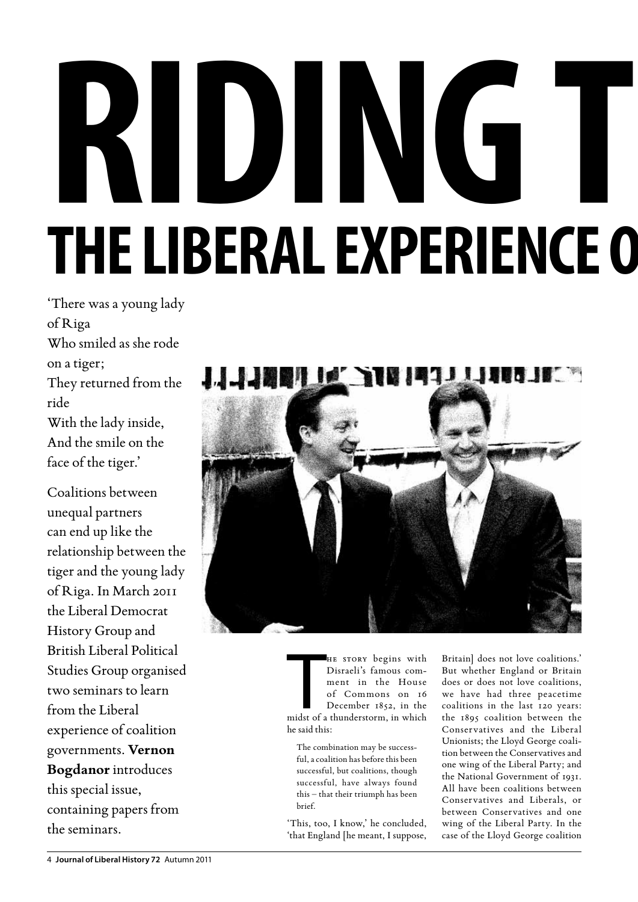## **Riding the Tiger THE LIBERAL EXPERIENCE O**

'There was a young lady of Riga Who smiled as she rode on a tiger; They returned from the ride With the lady inside, And the smile on the face of the tiger.'

Coalitions between unequal partners can end up like the relationship between the tiger and the young lady of Riga. In March 2011 the Liberal Democrat History Group and British Liberal Political Studies Group organised two seminars to learn from the Liberal experience of coalition governments. **Vernon Bogdanor** introduces this special issue, containing papers from the seminars.



HE STORY begins with<br>Disraeli's famous com-<br>ment in the House<br>of Commons on 16<br>December 1852, in the<br>midst of a thunderstorm, in which he story begins with Disraeli's famous comment in the House of Commons on 16 December 1852, in the he said this:

The combination may be successful, a coalition has before this been successful, but coalitions, though successful, have always found this – that their triumph has been brief.

'This, too, I know,' he concluded, 'that England [he meant, I suppose,

Britain] does not love coalitions.' But whether England or Britain does or does not love coalitions, we have had three peacetime coalitions in the last 120 years: the 1895 coalition between the Conservatives and the Liberal Unionists; the Lloyd George coalition between the Conservatives and one wing of the Liberal Party; and the National Government of 1931. All have been coalitions between Conservatives and Liberals, or between Conservatives and one wing of the Liberal Party. In the case of the Lloyd George coalition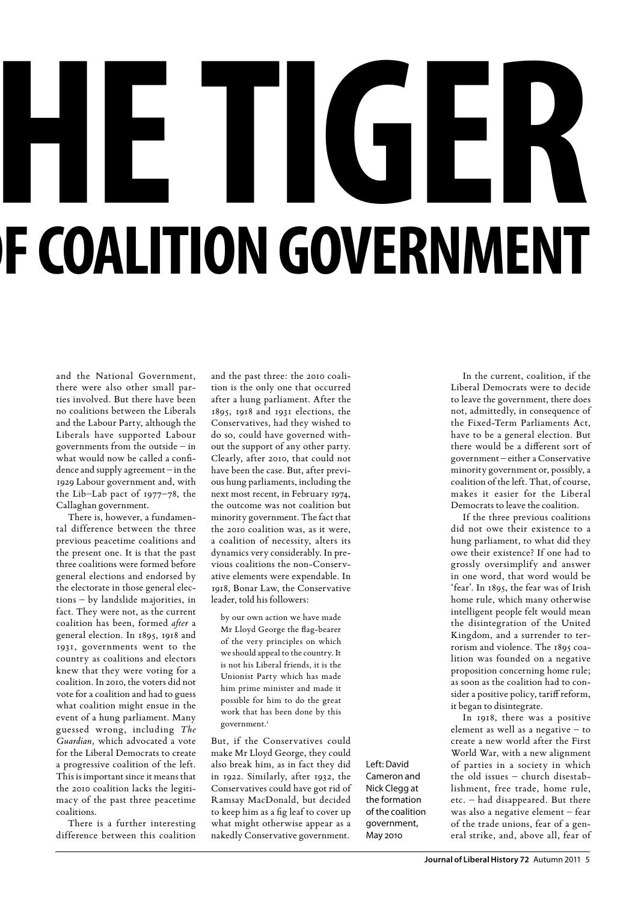# **RETIGER F COALITION GOVERNMENT**

and the National Government, there were also other small parties involved. But there have been no coalitions between the Liberals and the Labour Party, although the Liberals have supported Labour governments from the outside – in what would now be called a confidence and supply agreement – in the 1929 Labour government and, with the Lib–Lab pact of 1977–78, the Callaghan government.

There is, however, a fundamental difference between the three previous peacetime coalitions and the present one. It is that the past three coalitions were formed before general elections and endorsed by the electorate in those general elections – by landslide majorities, in fact. They were not, as the current coalition has been, formed *after* a general election. In 1895, 1918 and 1931, governments went to the country as coalitions and electors knew that they were voting for a coalition. In 2010, the voters did not vote for a coalition and had to guess what coalition might ensue in the event of a hung parliament. Many guessed wrong, including *The Guardian,* which advocated a vote for the Liberal Democrats to create a progressive coalition of the left. This is important since it means that the 2010 coalition lacks the legitimacy of the past three peacetime coalitions.

There is a further interesting difference between this coalition and the past three: the 2010 coalition is the only one that occurred after a hung parliament. After the 1895, 1918 and 1931 elections, the Conservatives, had they wished to do so, could have governed without the support of any other party. Clearly, after 2010, that could not have been the case. But, after previous hung parliaments, including the next most recent, in February 1974, the outcome was not coalition but minority government. The fact that the 2010 coalition was, as it were, a coalition of necessity, alters its dynamics very considerably. In previous coalitions the non-Conservative elements were expendable. In 1918, Bonar Law, the Conservative leader, told his followers:

by our own action we have made Mr Lloyd George the flag-bearer of the very principles on which we should appeal to the country. It is not his Liberal friends, it is the Unionist Party which has made him prime minister and made it possible for him to do the great work that has been done by this government.<sup>1</sup>

But, if the Conservatives could make Mr Lloyd George, they could also break him, as in fact they did in 1922. Similarly, after 1932, the Conservatives could have got rid of Ramsay MacDonald, but decided to keep him as a fig leaf to cover up what might otherwise appear as a nakedly Conservative government.

Left: David Cameron and Nick Clegg at the formation of the coalition government, May 2010

In the current, coalition, if the Liberal Democrats were to decide to leave the government, there does not, admittedly, in consequence of the Fixed-Term Parliaments Act, have to be a general election. But there would be a different sort of government – either a Conservative minority government or, possibly, a coalition of the left. That, of course, makes it easier for the Liberal Democrats to leave the coalition.

If the three previous coalitions did not owe their existence to a hung parliament, to what did they owe their existence? If one had to grossly oversimplify and answer in one word, that word would be 'fear'. In 1895, the fear was of Irish home rule, which many otherwise intelligent people felt would mean the disintegration of the United Kingdom, and a surrender to terrorism and violence. The 1895 coalition was founded on a negative proposition concerning home rule; as soon as the coalition had to consider a positive policy, tariff reform, it began to disintegrate.

In 1918, there was a positive element as well as a negative – to create a new world after the First World War, with a new alignment of parties in a society in which the old issues – church disestablishment, free trade, home rule, etc. – had disappeared. But there was also a negative element – fear of the trade unions, fear of a general strike, and, above all, fear of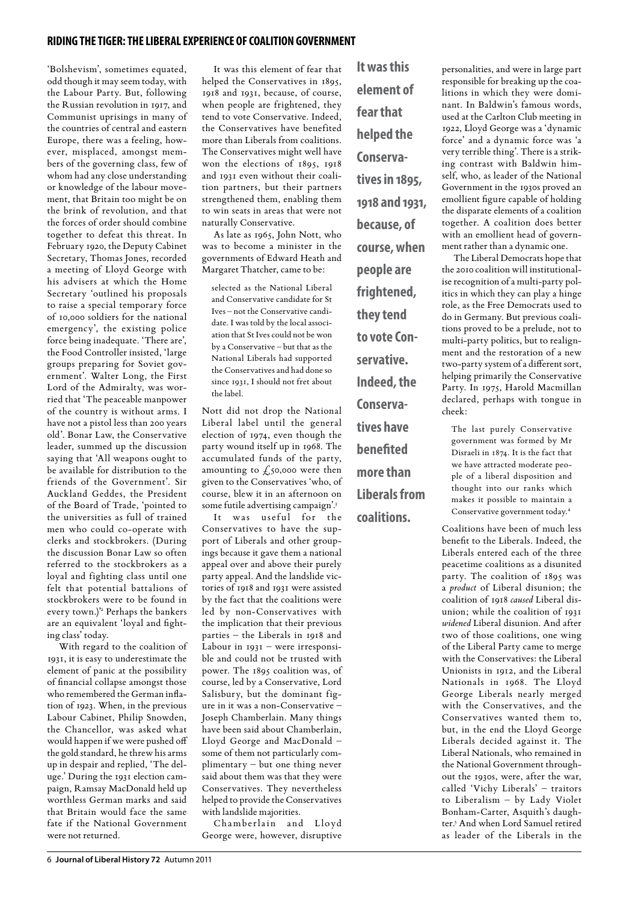### **riding the tiger: the liberal experience of coalition government**

'Bolshevism', sometimes equated, odd though it may seem today, with the Labour Party. But, following the Russian revolution in 1917, and Communist uprisings in many of the countries of central and eastern Europe, there was a feeling, however, misplaced, amongst members of the governing class, few of whom had any close understanding or knowledge of the labour movement, that Britain too might be on the brink of revolution, and that the forces of order should combine together to defeat this threat. In February 1920, the Deputy Cabinet Secretary, Thomas Jones, recorded a meeting of Lloyd George with his advisers at which the Home Secretary 'outlined his proposals to raise a special temporary force of 10,000 soldiers for the national emergency', the existing police force being inadequate. 'There are', the Food Controller insisted, 'large groups preparing for Soviet government'. Walter Long, the First Lord of the Admiralty, was worried that 'The peaceable manpower of the country is without arms. I have not a pistol less than 200 years old'. Bonar Law, the Conservative leader, summed up the discussion saying that 'All weapons ought to be available for distribution to the friends of the Government'. Sir Auckland Geddes, the President of the Board of Trade, 'pointed to the universities as full of trained men who could co-operate with clerks and stockbrokers. (During the discussion Bonar Law so often referred to the stockbrokers as a loyal and fighting class until one felt that potential battalions of stockbrokers were to be found in every town.)'2 Perhaps the bankers are an equivalent 'loyal and fighting class' today.

With regard to the coalition of 1931, it is easy to underestimate the element of panic at the possibility of financial collapse amongst those who remembered the German inflation of 1923. When, in the previous Labour Cabinet, Philip Snowden, the Chancellor, was asked what would happen if we were pushed off the gold standard, he threw his arms up in despair and replied, 'The deluge.' During the 1931 election campaign, Ramsay MacDonald held up worthless German marks and said that Britain would face the same fate if the National Government were not returned.

It was this element of fear that helped the Conservatives in 1895, 1918 and 1931, because, of course, when people are frightened, they tend to vote Conservative. Indeed, the Conservatives have benefited more than Liberals from coalitions. The Conservatives might well have won the elections of 1895, 1918 and 1931 even without their coalition partners, but their partners strengthened them, enabling them to win seats in areas that were not naturally Conservative.

As late as 1965, John Nott, who was to become a minister in the governments of Edward Heath and Margaret Thatcher, came to be:

selected as the National Liberal and Conservative candidate for St Ives – not the Conservative candidate. I was told by the local association that St Ives could not be won by a Conservative – but that as the National Liberals had supported the Conservatives and had done so since 1931, I should not fret about the label.

Nott did not drop the National Liberal label until the general election of 1974, even though the party wound itself up in 1968. The accumulated funds of the party, amounting to  $f_{50,000}$  were then given to the Conservatives 'who, of course, blew it in an afternoon on some futile advertising campaign'.3

It was useful for the Conservatives to have the support of Liberals and other groupings because it gave them a national appeal over and above their purely party appeal. And the landslide victories of 1918 and 1931 were assisted by the fact that the coalitions were led by non-Conservatives with the implication that their previous parties – the Liberals in 1918 and Labour in 1931 – were irresponsible and could not be trusted with power. The 1895 coalition was, of course, led by a Conservative, Lord Salisbury, but the dominant figure in it was a non-Conservative – Joseph Chamberlain. Many things have been said about Chamberlain, Lloyd George and MacDonald – some of them not particularly complimentary – but one thing never said about them was that they were Conservatives. They nevertheless helped to provide the Conservatives with landslide majorities.

Chamberlain and Lloyd George were, however, disruptive

**element of fear that helped the Conservatives in 1895, 1918 and 1931, because, of course, when people are frightened, they tend to vote Conservative. Indeed, the Conservatives have benefited more than Liberals from** 

**coalitions.** 

**It was this** 

personalities, and were in large part responsible for breaking up the coalitions in which they were dominant. In Baldwin's famous words, used at the Carlton Club meeting in 1922, Lloyd George was a 'dynamic force' and a dynamic force was 'a very terrible thing'. There is a striking contrast with Baldwin himself, who, as leader of the National Government in the 1930s proved an emollient figure capable of holding the disparate elements of a coalition together. A coalition does better with an emollient head of government rather than a dynamic one.

The Liberal Democrats hope that the 2010 coalition will institutionalise recognition of a multi-party politics in which they can play a hinge role, as the Free Democrats used to do in Germany. But previous coalitions proved to be a prelude, not to multi-party politics, but to realignment and the restoration of a new two-party system of a different sort, helping primarily the Conservative Party. In 1975, Harold Macmillan declared, perhaps with tongue in cheek:

The last purely Conservative government was formed by Mr Disraeli in 1874. It is the fact that we have attracted moderate people of a liberal disposition and thought into our ranks which makes it possible to maintain a Conservative government today.4

Coalitions have been of much less benefit to the Liberals. Indeed, the Liberals entered each of the three peacetime coalitions as a disunited party. The coalition of 1895 was a *product* of Liberal disunion; the coalition of 1918 *caused* Liberal disunion; while the coalition of 1931 *widened* Liberal disunion. And after two of those coalitions, one wing of the Liberal Party came to merge with the Conservatives: the Liberal Unionists in 1912, and the Liberal Nationals in 1968. The Lloyd George Liberals nearly merged with the Conservatives, and the Conservatives wanted them to, but, in the end the Lloyd George Liberals decided against it. The Liberal Nationals, who remained in the National Government throughout the 1930s, were, after the war, called 'Vichy Liberals' – traitors to Liberalism – by Lady Violet Bonham-Carter, Asquith's daughter.5 And when Lord Samuel retired as leader of the Liberals in the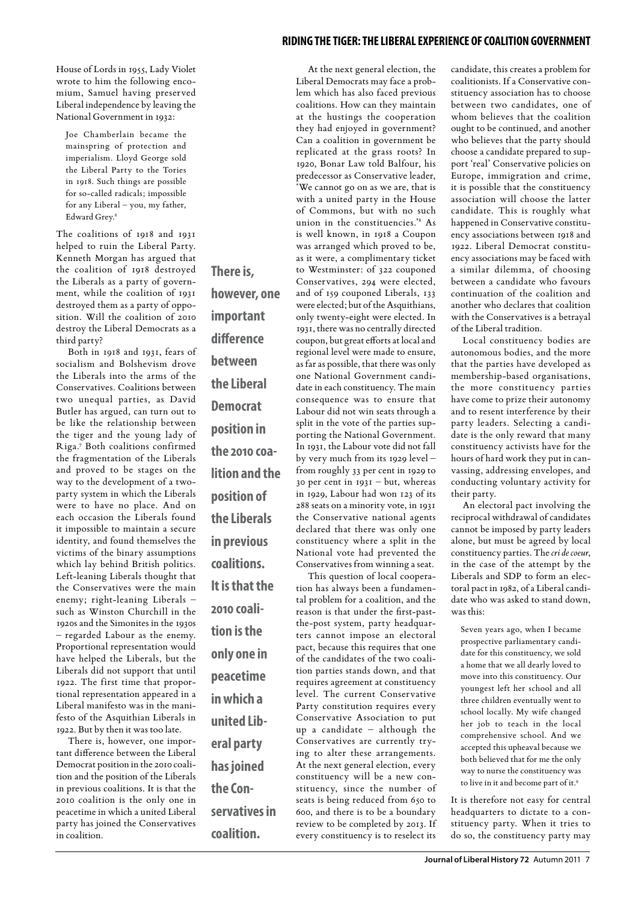House of Lords in 1955, Lady Violet wrote to him the following encomium, Samuel having preserved Liberal independence by leaving the National Government in 1932:

Joe Chamberlain became the mainspring of protection and imperialism. Lloyd George sold the Liberal Party to the Tories in 1918. Such things are possible for so-called radicals; impossible for any Liberal – you, my father, Edward Grey.6

The coalitions of 1918 and 1931 helped to ruin the Liberal Party. Kenneth Morgan has argued that the coalition of 1918 destroyed the Liberals as a party of government, while the coalition of 1931 destroyed them as a party of opposition. Will the coalition of 2010 destroy the Liberal Democrats as a third party?

Both in 1918 and 1931, fears of socialism and Bolshevism drove the Liberals into the arms of the Conservatives. Coalitions between two unequal parties, as David Butler has argued, can turn out to be like the relationship between the tiger and the young lady of Riga.7 Both coalitions confirmed the fragmentation of the Liberals and proved to be stages on the way to the development of a twoparty system in which the Liberals were to have no place. And on each occasion the Liberals found it impossible to maintain a secure identity, and found themselves the victims of the binary assumptions which lay behind British politics. Left-leaning Liberals thought that the Conservatives were the main enemy; right-leaning Liberals – such as Winston Churchill in the 1920s and the Simonites in the 1930s – regarded Labour as the enemy. Proportional representation would have helped the Liberals, but the Liberals did not support that until 1922. The first time that proportional representation appeared in a Liberal manifesto was in the manifesto of the Asquithian Liberals in 1922. But by then it was too late.

There is, however, one important difference between the Liberal Democrat position in the 2010 coalition and the position of the Liberals in previous coalitions. It is that the 2010 coalition is the only one in peacetime in which a united Liberal party has joined the Conservatives in coalition.

**There is, however, one important difference between the Liberal Democrat position in the 2010 coalition and the position of the Liberals in previous coalitions. It is that the 2010 coalition is the only one in peacetime in which a united Liberal party has joined the Conservatives in** 

**coalition.**

At the next general election, the Liberal Democrats may face a problem which has also faced previous coalitions. How can they maintain at the hustings the cooperation they had enjoyed in government? Can a coalition in government be replicated at the grass roots? In 1920, Bonar Law told Balfour, his predecessor as Conservative leader, 'We cannot go on as we are, that is with a united party in the House of Commons, but with no such union in the constituencies.'8 As is well known, in 1918 a Coupon was arranged which proved to be, as it were, a complimentary ticket to Westminster: of 322 couponed Conservatives, 294 were elected, and of 159 couponed Liberals, 133 were elected; but of the Asquithians, only twenty-eight were elected. In 1931, there was no centrally directed coupon, but great efforts at local and regional level were made to ensure, as far as possible, that there was only one National Government candidate in each constituency. The main consequence was to ensure that Labour did not win seats through a split in the vote of the parties supporting the National Government. In 1931, the Labour vote did not fall by very much from its 1929 level – from roughly 33 per cent in 1929 to 30 per cent in 1931 – but, whereas in 1929, Labour had won 123 of its 288 seats on a minority vote, in 1931 the Conservative national agents declared that there was only one constituency where a split in the National vote had prevented the Conservatives from winning a seat. This question of local coopera-

tion has always been a fundamental problem for a coalition, and the reason is that under the first-pastthe-post system, party headquarters cannot impose an electoral pact, because this requires that one of the candidates of the two coalition parties stands down, and that requires agreement at constituency level. The current Conservative Party constitution requires every Conservative Association to put up a candidate – although the Conservatives are currently trying to alter these arrangements. At the next general election, every constituency will be a new constituency, since the number of seats is being reduced from 650 to 600, and there is to be a boundary review to be completed by 2013. If every constituency is to reselect its

### **riding the tiger: the liberal experience of coalition government**

candidate, this creates a problem for coalitionists. If a Conservative constituency association has to choose between two candidates, one of whom believes that the coalition ought to be continued, and another who believes that the party should choose a candidate prepared to support 'real' Conservative policies on Europe, immigration and crime, it is possible that the constituency association will choose the latter candidate. This is roughly what happened in Conservative constituency associations between 1918 and 1922. Liberal Democrat constituency associations may be faced with a similar dilemma, of choosing between a candidate who favours continuation of the coalition and another who declares that coalition with the Conservatives is a betrayal of the Liberal tradition.

Local constituency bodies are autonomous bodies, and the more that the parties have developed as membership-based organisations, the more constituency parties have come to prize their autonomy and to resent interference by their party leaders. Selecting a candidate is the only reward that many constituency activists have for the hours of hard work they put in canvassing, addressing envelopes, and conducting voluntary activity for their party.

An electoral pact involving the reciprocal withdrawal of candidates cannot be imposed by party leaders alone, but must be agreed by local constituency parties. The *cri de coeur*, in the case of the attempt by the Liberals and SDP to form an electoral pact in 1982, of a Liberal candidate who was asked to stand down, was this:

Seven years ago, when I became prospective parliamentary candidate for this constituency, we sold a home that we all dearly loved to move into this constituency. Our youngest left her school and all three children eventually went to school locally. My wife changed her job to teach in the local comprehensive school. And we accepted this upheaval because we both believed that for me the only way to nurse the constituency was to live in it and become part of it.<sup>9</sup>

It is therefore not easy for central headquarters to dictate to a constituency party. When it tries to do so, the constituency party may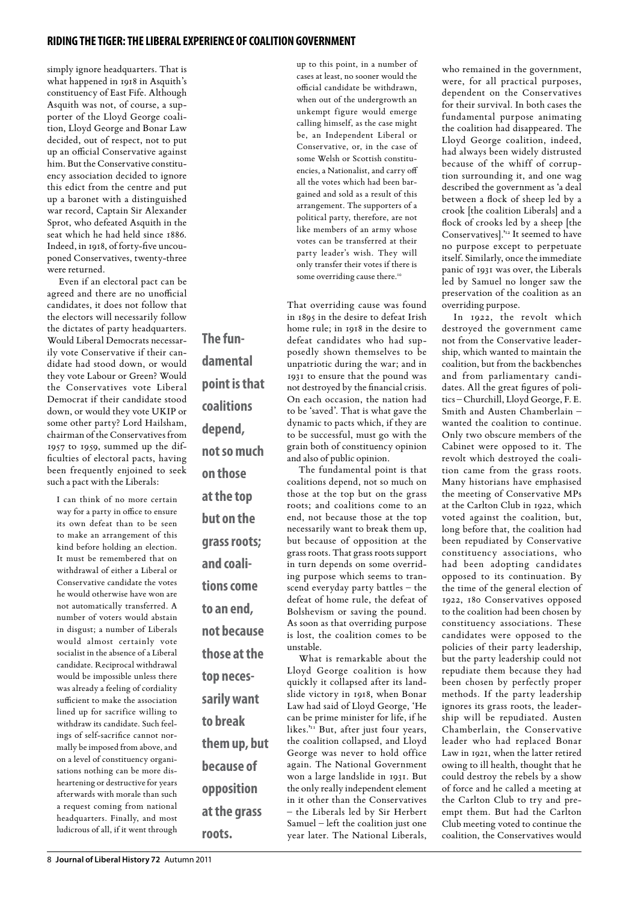## **riding the tiger: the liberal experience of coalition government**

simply ignore headquarters. That is what happened in 1918 in Asquith's constituency of East Fife. Although Asquith was not, of course, a supporter of the Lloyd George coalition, Lloyd George and Bonar Law decided, out of respect, not to put up an official Conservative against him. But the Conservative constituency association decided to ignore this edict from the centre and put up a baronet with a distinguished war record, Captain Sir Alexander Sprot, who defeated Asquith in the seat which he had held since 1886. Indeed, in 1918, of forty-five uncouponed Conservatives, twenty-three were returned.

Even if an electoral pact can be agreed and there are no unofficial candidates, it does not follow that the electors will necessarily follow the dictates of party headquarters. Would Liberal Democrats necessarily vote Conservative if their candidate had stood down, or would they vote Labour or Green? Would the Conservatives vote Liberal Democrat if their candidate stood down, or would they vote UKIP or some other party? Lord Hailsham, chairman of the Conservatives from 1957 to 1959, summed up the difficulties of electoral pacts, having been frequently enjoined to seek such a pact with the Liberals:

I can think of no more certain way for a party in office to ensure its own defeat than to be seen to make an arrangement of this kind before holding an election. It must be remembered that on withdrawal of either a Liberal or Conservative candidate the votes he would otherwise have won are not automatically transferred. A number of voters would abstain in disgust; a number of Liberals would almost certainly vote socialist in the absence of a Liberal candidate. Reciprocal withdrawal would be impossible unless there was already a feeling of cordiality sufficient to make the association lined up for sacrifice willing to withdraw its candidate. Such feelings of self-sacrifice cannot normally be imposed from above, and on a level of constituency organisations nothing can be more disheartening or destructive for years afterwards with morale than such a request coming from national headquarters. Finally, and most ludicrous of all, if it went through

**The fundamental point is that coalitions depend, not so much on those at the top but on the grass roots; and coalitions come to an end, not because those at the top necessarily want to break them up, but because of opposition at the grass** 

**roots.**

up to this point, in a number of cases at least, no sooner would the official candidate be withdrawn, when out of the undergrowth an unkempt figure would emerge calling himself, as the case might be, an Independent Liberal or Conservative, or, in the case of some Welsh or Scottish constituencies, a Nationalist, and carry off all the votes which had been bargained and sold as a result of this arrangement. The supporters of a political party, therefore, are not like members of an army whose votes can be transferred at their party leader's wish. They will only transfer their votes if there is some overriding cause there.<sup>10</sup>

That overriding cause was found in 1895 in the desire to defeat Irish home rule; in 1918 in the desire to defeat candidates who had supposedly shown themselves to be unpatriotic during the war; and in 1931 to ensure that the pound was not destroyed by the financial crisis. On each occasion, the nation had to be 'saved'. That is what gave the dynamic to pacts which, if they are to be successful, must go with the grain both of constituency opinion and also of public opinion.

The fundamental point is that coalitions depend, not so much on those at the top but on the grass roots; and coalitions come to an end, not because those at the top necessarily want to break them up, but because of opposition at the grass roots. That grass roots support in turn depends on some overriding purpose which seems to transcend everyday party battles – the defeat of home rule, the defeat of Bolshevism or saving the pound. As soon as that overriding purpose is lost, the coalition comes to be unstable.

What is remarkable about the Lloyd George coalition is how quickly it collapsed after its landslide victory in 1918, when Bonar Law had said of Lloyd George, 'He can be prime minister for life, if he likes.'<sup>11</sup> But, after just four years, the coalition collapsed, and Lloyd George was never to hold office again. The National Government won a large landslide in 1931. But the only really independent element in it other than the Conservatives – the Liberals led by Sir Herbert Samuel – left the coalition just one year later. The National Liberals,

who remained in the government, were, for all practical purposes, dependent on the Conservatives for their survival. In both cases the fundamental purpose animating the coalition had disappeared. The Lloyd George coalition, indeed, had always been widely distrusted because of the whiff of corruption surrounding it, and one wag described the government as 'a deal between a flock of sheep led by a crook [the coalition Liberals] and a flock of crooks led by a sheep [the Conservatives].'12 It seemed to have no purpose except to perpetuate itself. Similarly, once the immediate panic of 1931 was over, the Liberals led by Samuel no longer saw the preservation of the coalition as an overriding purpose.

In 1922, the revolt which destroyed the government came not from the Conservative leadership, which wanted to maintain the coalition, but from the backbenches and from parliamentary candidates. All the great figures of politics – Churchill, Lloyd George, F. E. Smith and Austen Chamberlain – wanted the coalition to continue. Only two obscure members of the Cabinet were opposed to it. The revolt which destroyed the coalition came from the grass roots. Many historians have emphasised the meeting of Conservative MPs at the Carlton Club in 1922, which voted against the coalition, but, long before that, the coalition had been repudiated by Conservative constituency associations, who had been adopting candidates opposed to its continuation. By the time of the general election of 1922, 180 Conservatives opposed to the coalition had been chosen by constituency associations. These candidates were opposed to the policies of their party leadership, but the party leadership could not repudiate them because they had been chosen by perfectly proper methods. If the party leadership ignores its grass roots, the leadership will be repudiated. Austen Chamberlain, the Conservative leader who had replaced Bonar Law in 1921, when the latter retired owing to ill health, thought that he could destroy the rebels by a show of force and he called a meeting at the Carlton Club to try and preempt them. But had the Carlton Club meeting voted to continue the coalition, the Conservatives would